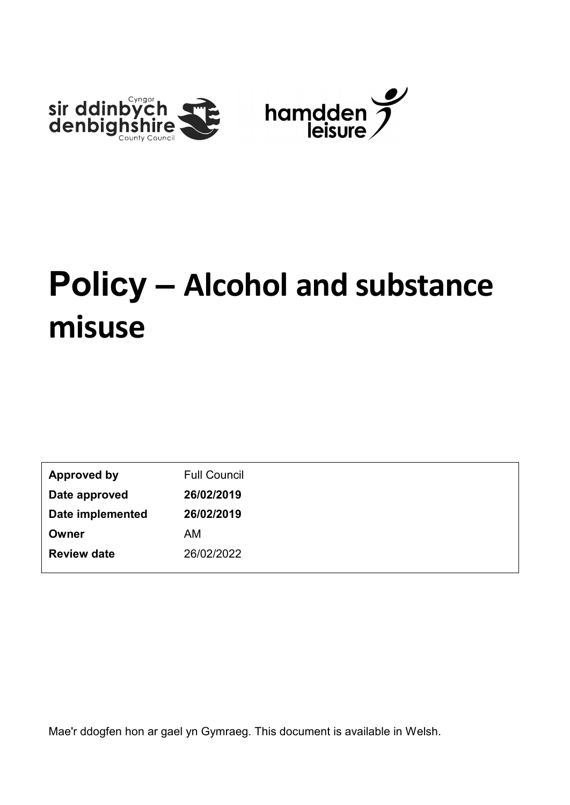

| <b>Approved by</b> | <b>Full Council</b> |
|--------------------|---------------------|
| Date approved      | 26/02/2019          |
| Date implemented   | 26/02/2019          |
| Owner              | AM                  |
| <b>Review date</b> | 26/02/2022          |

Mae'r ddogfen hon ar gael yn Gymraeg. This document is available in Welsh.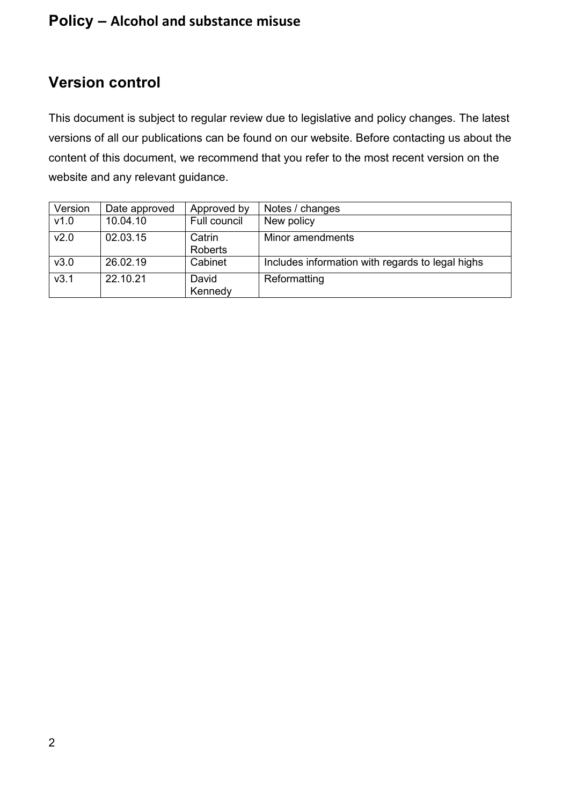# <span id="page-1-0"></span>**Version control**

This document is subject to regular review due to legislative and policy changes. The latest versions of all our publications can be found on our website. Before contacting us about the content of this document, we recommend that you refer to the most recent version on the website and any relevant guidance.

| Version          | Date approved | Approved by       | Notes / changes                                  |
|------------------|---------------|-------------------|--------------------------------------------------|
| v1.0             | 10.04.10      | Full council      | New policy                                       |
| V <sub>2.0</sub> | 02.03.15      | Catrin<br>Roberts | Minor amendments                                 |
| v3.0             | 26.02.19      | Cabinet           | Includes information with regards to legal highs |
| v3.1             | 22.10.21      | David<br>Kennedy  | Reformatting                                     |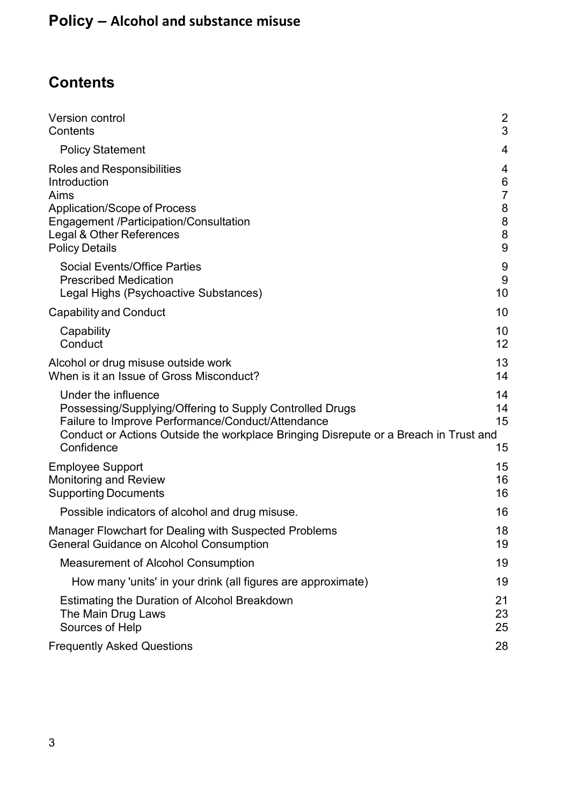# <span id="page-2-0"></span>**Contents**

| Version control                                                                                                                                                                                                                            | 2                    |
|--------------------------------------------------------------------------------------------------------------------------------------------------------------------------------------------------------------------------------------------|----------------------|
| Contents                                                                                                                                                                                                                                   | 3                    |
| <b>Policy Statement</b>                                                                                                                                                                                                                    | 4                    |
| Roles and Responsibilities                                                                                                                                                                                                                 | 4                    |
| Introduction                                                                                                                                                                                                                               | $\,6$                |
| Aims                                                                                                                                                                                                                                       | $\overline{7}$       |
| <b>Application/Scope of Process</b>                                                                                                                                                                                                        | 8                    |
| <b>Engagement /Participation/Consultation</b>                                                                                                                                                                                              | 8                    |
| Legal & Other References                                                                                                                                                                                                                   | $\bf 8$              |
| <b>Policy Details</b>                                                                                                                                                                                                                      | 9                    |
| <b>Social Events/Office Parties</b>                                                                                                                                                                                                        | 9                    |
| <b>Prescribed Medication</b>                                                                                                                                                                                                               | 9                    |
| Legal Highs (Psychoactive Substances)                                                                                                                                                                                                      | 10                   |
| <b>Capability and Conduct</b>                                                                                                                                                                                                              | 10                   |
| Capability                                                                                                                                                                                                                                 | 10                   |
| Conduct                                                                                                                                                                                                                                    | 12                   |
| Alcohol or drug misuse outside work                                                                                                                                                                                                        | 13                   |
| When is it an Issue of Gross Misconduct?                                                                                                                                                                                                   | 14                   |
| Under the influence<br>Possessing/Supplying/Offering to Supply Controlled Drugs<br>Failure to Improve Performance/Conduct/Attendance<br>Conduct or Actions Outside the workplace Bringing Disrepute or a Breach in Trust and<br>Confidence | 14<br>14<br>15<br>15 |
| <b>Employee Support</b>                                                                                                                                                                                                                    | 15                   |
| <b>Monitoring and Review</b>                                                                                                                                                                                                               | 16                   |
| <b>Supporting Documents</b>                                                                                                                                                                                                                | 16                   |
| Possible indicators of alcohol and drug misuse.                                                                                                                                                                                            | 16                   |
| Manager Flowchart for Dealing with Suspected Problems                                                                                                                                                                                      | 18                   |
| <b>General Guidance on Alcohol Consumption</b>                                                                                                                                                                                             | 19                   |
| <b>Measurement of Alcohol Consumption</b>                                                                                                                                                                                                  | 19                   |
| How many 'units' in your drink (all figures are approximate)                                                                                                                                                                               | 19                   |
| Estimating the Duration of Alcohol Breakdown                                                                                                                                                                                               | 21                   |
| The Main Drug Laws                                                                                                                                                                                                                         | 23                   |
| Sources of Help                                                                                                                                                                                                                            | 25                   |
| <b>Frequently Asked Questions</b>                                                                                                                                                                                                          | 28                   |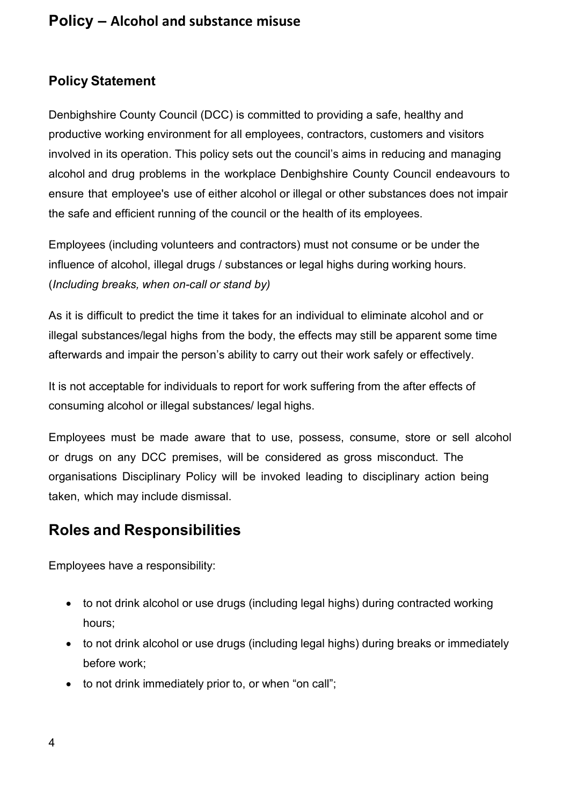## <span id="page-3-0"></span>**Policy Statement**

Denbighshire County Council (DCC) is committed to providing a safe, healthy and productive working environment for all employees, contractors, customers and visitors involved in its operation. This policy sets out the council's aims in reducing and managing alcohol and drug problems in the workplace Denbighshire County Council endeavours to ensure that employee's use of either alcohol or illegal or other substances does not impair the safe and efficient running of the council or the health of its employees.

Employees (including volunteers and contractors) must not consume or be under the influence of alcohol, illegal drugs / substances or legal highs during working hours. (*Including breaks, when on-call or stand by)* 

As it is difficult to predict the time it takes for an individual to eliminate alcohol and or illegal substances/legal highs from the body, the effects may still be apparent some time afterwards and impair the person's ability to carry out their work safely or effectively.

It is not acceptable for individuals to report for work suffering from the after effects of consuming alcohol or illegal substances/ legal highs.

Employees must be made aware that to use, possess, consume, store or sell alcohol or drugs on any DCC premises, will be considered as gross misconduct. The organisations Disciplinary Policy will be invoked leading to disciplinary action being taken, which may include dismissal.

# <span id="page-3-1"></span>**Roles and Responsibilities**

Employees have a responsibility:

- to not drink alcohol or use drugs (including legal highs) during contracted working hours;
- to not drink alcohol or use drugs (including legal highs) during breaks or immediately before work;
- to not drink immediately prior to, or when "on call";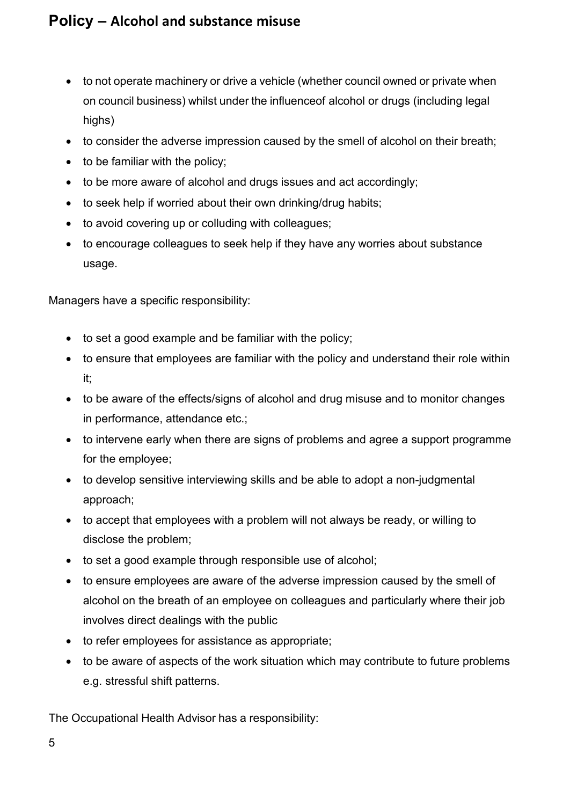- to not operate machinery or drive a vehicle (whether council owned or private when on council business) whilst under the influenceof alcohol or drugs (including legal highs)
- to consider the adverse impression caused by the smell of alcohol on their breath;
- to be familiar with the policy;
- to be more aware of alcohol and drugs issues and act accordingly;
- to seek help if worried about their own drinking/drug habits;
- to avoid covering up or colluding with colleagues;
- to encourage colleagues to seek help if they have any worries about substance usage.

Managers have a specific responsibility:

- to set a good example and be familiar with the policy;
- to ensure that employees are familiar with the policy and understand their role within it;
- to be aware of the effects/signs of alcohol and drug misuse and to monitor changes in performance, attendance etc.;
- to intervene early when there are signs of problems and agree a support programme for the employee;
- to develop sensitive interviewing skills and be able to adopt a non-judgmental approach;
- to accept that employees with a problem will not always be ready, or willing to disclose the problem;
- to set a good example through responsible use of alcohol;
- to ensure employees are aware of the adverse impression caused by the smell of alcohol on the breath of an employee on colleagues and particularly where their job involves direct dealings with the public
- to refer employees for assistance as appropriate;
- to be aware of aspects of the work situation which may contribute to future problems e.g. stressful shift patterns.

The Occupational Health Advisor has a responsibility: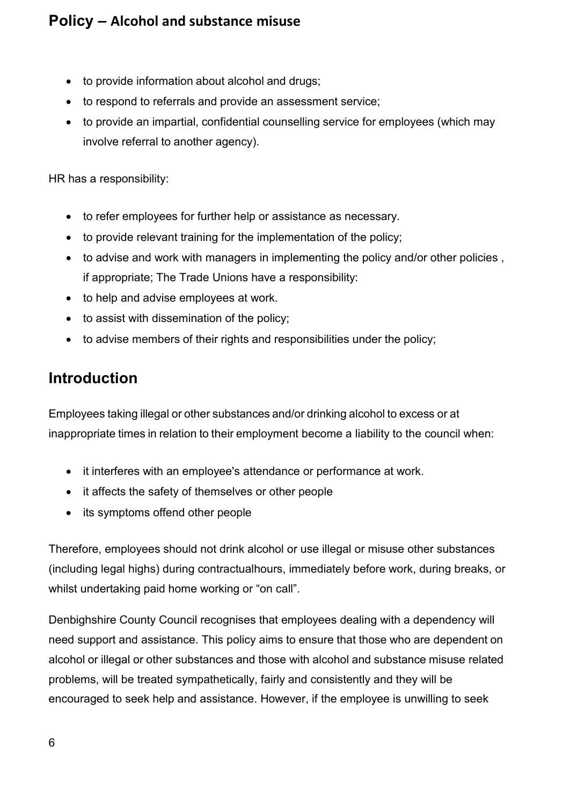- to provide information about alcohol and drugs;
- to respond to referrals and provide an assessment service;
- to provide an impartial, confidential counselling service for employees (which may involve referral to another agency).

HR has a responsibility:

- to refer employees for further help or assistance as necessary.
- to provide relevant training for the implementation of the policy;
- to advise and work with managers in implementing the policy and/or other policies , if appropriate; The Trade Unions have a responsibility:
- to help and advise employees at work.
- to assist with dissemination of the policy;
- to advise members of their rights and responsibilities under the policy;

# <span id="page-5-0"></span>**Introduction**

Employees taking illegal or other substances and/or drinking alcohol to excess or at inappropriate times in relation to their employment become a liability to the council when:

- it interferes with an employee's attendance or performance at work.
- it affects the safety of themselves or other people
- its symptoms offend other people

Therefore, employees should not drink alcohol or use illegal or misuse other substances (including legal highs) during contractualhours, immediately before work, during breaks, or whilst undertaking paid home working or "on call".

Denbighshire County Council recognises that employees dealing with a dependency will need support and assistance. This policy aims to ensure that those who are dependent on alcohol or illegal or other substances and those with alcohol and substance misuse related problems, will be treated sympathetically, fairly and consistently and they will be encouraged to seek help and assistance. However, if the employee is unwilling to seek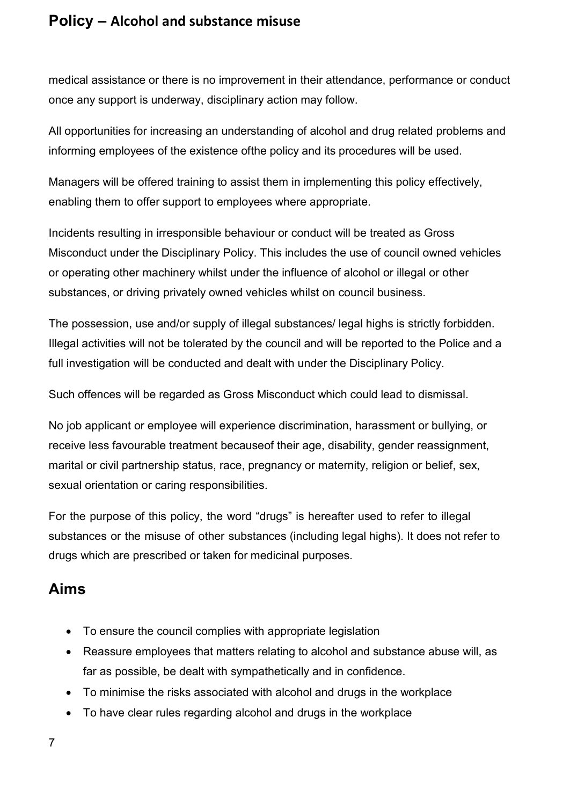medical assistance or there is no improvement in their attendance, performance or conduct once any support is underway, disciplinary action may follow.

All opportunities for increasing an understanding of alcohol and drug related problems and informing employees of the existence ofthe policy and its procedures will be used.

Managers will be offered training to assist them in implementing this policy effectively, enabling them to offer support to employees where appropriate.

Incidents resulting in irresponsible behaviour or conduct will be treated as Gross Misconduct under the Disciplinary Policy. This includes the use of council owned vehicles or operating other machinery whilst under the influence of alcohol or illegal or other substances, or driving privately owned vehicles whilst on council business.

The possession, use and/or supply of illegal substances/ legal highs is strictly forbidden. Illegal activities will not be tolerated by the council and will be reported to the Police and a full investigation will be conducted and dealt with under the Disciplinary Policy.

Such offences will be regarded as Gross Misconduct which could lead to dismissal.

No job applicant or employee will experience discrimination, harassment or bullying, or receive less favourable treatment becauseof their age, disability, gender reassignment, marital or civil partnership status, race, pregnancy or maternity, religion or belief, sex, sexual orientation or caring responsibilities.

For the purpose of this policy, the word "drugs" is hereafter used to refer to illegal substances or the misuse of other substances (including legal highs). It does not refer to drugs which are prescribed or taken for medicinal purposes.

# <span id="page-6-0"></span>**Aims**

- To ensure the council complies with appropriate legislation
- Reassure employees that matters relating to alcohol and substance abuse will, as far as possible, be dealt with sympathetically and in confidence.
- To minimise the risks associated with alcohol and drugs in the workplace
- To have clear rules regarding alcohol and drugs in the workplace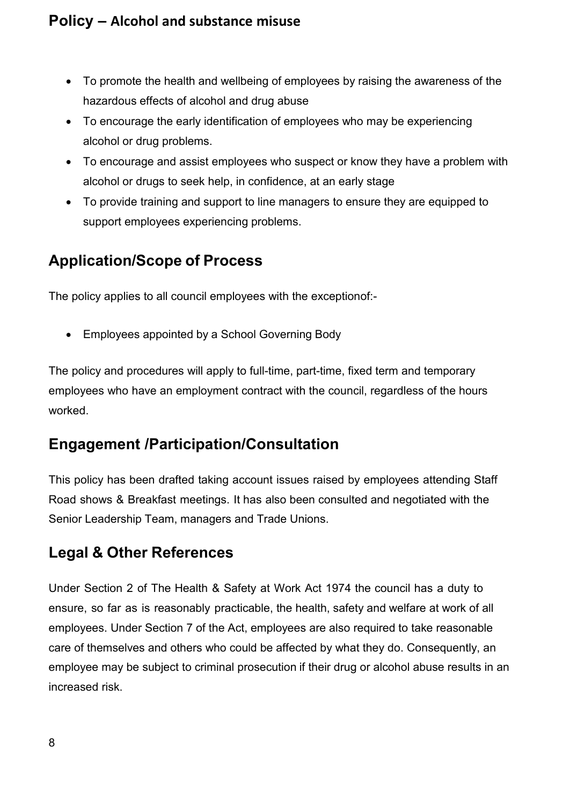- To promote the health and wellbeing of employees by raising the awareness of the hazardous effects of alcohol and drug abuse
- To encourage the early identification of employees who may be experiencing alcohol or drug problems.
- To encourage and assist employees who suspect or know they have a problem with alcohol or drugs to seek help, in confidence, at an early stage
- To provide training and support to line managers to ensure they are equipped to support employees experiencing problems.

# <span id="page-7-0"></span>**Application/Scope of Process**

The policy applies to all council employees with the exceptionof:-

• Employees appointed by a School Governing Body

The policy and procedures will apply to full-time, part-time, fixed term and temporary employees who have an employment contract with the council, regardless of the hours worked.

# <span id="page-7-1"></span>**Engagement /Participation/Consultation**

This policy has been drafted taking account issues raised by employees attending Staff Road shows & Breakfast meetings. It has also been consulted and negotiated with the Senior Leadership Team, managers and Trade Unions.

# <span id="page-7-2"></span>**Legal & Other References**

Under Section 2 of The Health & Safety at Work Act 1974 the council has a duty to ensure, so far as is reasonably practicable, the health, safety and welfare at work of all employees. Under Section 7 of the Act, employees are also required to take reasonable care of themselves and others who could be affected by what they do. Consequently, an employee may be subject to criminal prosecution if their drug or alcohol abuse results in an increased risk.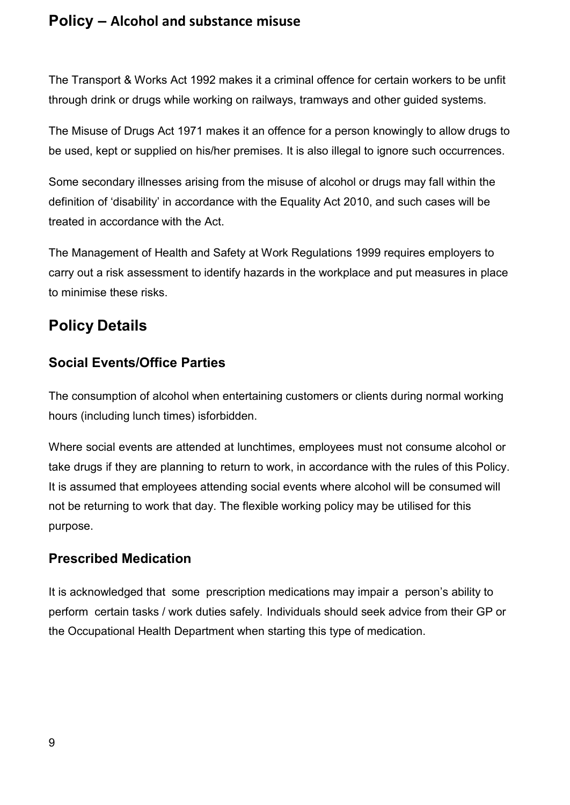The Transport & Works Act 1992 makes it a criminal offence for certain workers to be unfit through drink or drugs while working on railways, tramways and other guided systems.

The Misuse of Drugs Act 1971 makes it an offence for a person knowingly to allow drugs to be used, kept or supplied on his/her premises. It is also illegal to ignore such occurrences.

Some secondary illnesses arising from the misuse of alcohol or drugs may fall within the definition of 'disability' in accordance with the Equality Act 2010, and such cases will be treated in accordance with the Act.

The Management of Health and Safety at Work Regulations 1999 requires employers to carry out a risk assessment to identify hazards in the workplace and put measures in place to minimise these risks.

# <span id="page-8-0"></span>**Policy Details**

## <span id="page-8-1"></span>**Social Events/Office Parties**

The consumption of alcohol when entertaining customers or clients during normal working hours (including lunch times) isforbidden.

Where social events are attended at lunchtimes, employees must not consume alcohol or take drugs if they are planning to return to work, in accordance with the rules of this Policy. It is assumed that employees attending social events where alcohol will be consumed will not be returning to work that day. The flexible working policy may be utilised for this purpose.

## <span id="page-8-2"></span>**Prescribed Medication**

It is acknowledged that some prescription medications may impair a person's ability to perform certain tasks / work duties safely. Individuals should seek advice from their GP or the Occupational Health Department when starting this type of medication.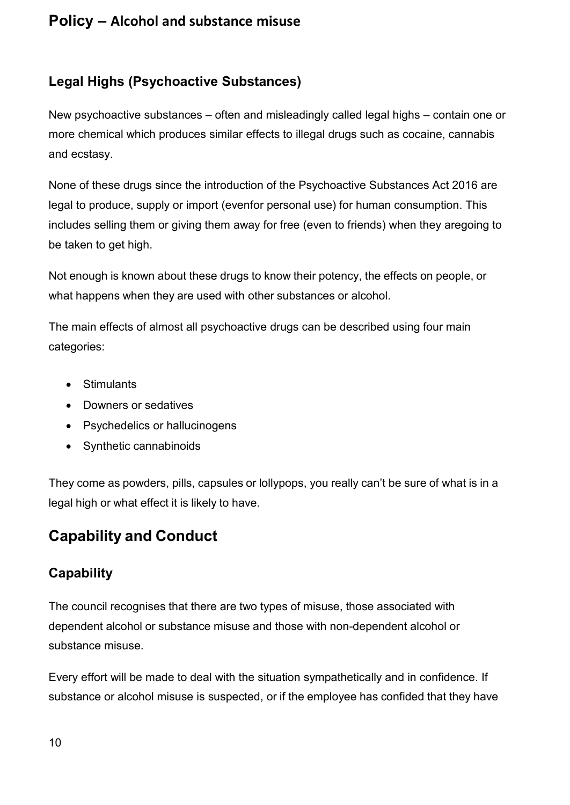## <span id="page-9-0"></span>**Legal Highs (Psychoactive Substances)**

New psychoactive substances – often and misleadingly called legal highs – contain one or more chemical which produces similar effects to illegal drugs such as cocaine, cannabis and ecstasy.

None of these drugs since the introduction of the Psychoactive Substances Act 2016 are legal to produce, supply or import (evenfor personal use) for human consumption. This includes selling them or giving them away for free (even to friends) when they aregoing to be taken to get high.

Not enough is known about these drugs to know their potency, the effects on people, or what happens when they are used with other substances or alcohol.

The main effects of almost all psychoactive drugs can be described using four main categories:

- Stimulants
- Downers or sedatives
- Psychedelics or hallucinogens
- Synthetic cannabinoids

They come as powders, pills, capsules or lollypops, you really can't be sure of what is in a legal high or what effect it is likely to have.

# <span id="page-9-1"></span>**Capability and Conduct**

## <span id="page-9-2"></span>**Capability**

The council recognises that there are two types of misuse, those associated with dependent alcohol or substance misuse and those with non-dependent alcohol or substance misuse.

Every effort will be made to deal with the situation sympathetically and in confidence. If substance or alcohol misuse is suspected, or if the employee has confided that they have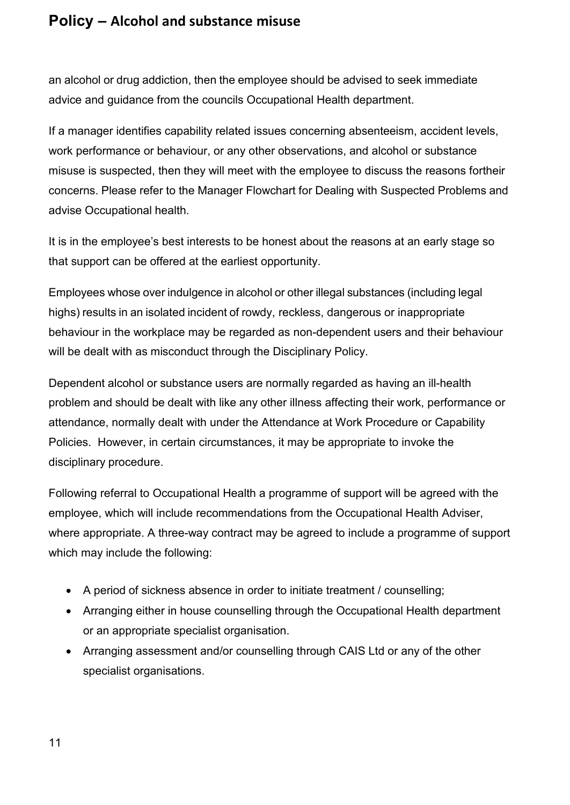an alcohol or drug addiction, then the employee should be advised to seek immediate advice and guidance from the councils Occupational Health department.

If a manager identifies capability related issues concerning absenteeism, accident levels, work performance or behaviour, or any other observations, and alcohol or substance misuse is suspected, then they will meet with the employee to discuss the reasons fortheir concerns. Please refer to the Manager Flowchart for Dealing with Suspected Problems and advise Occupational health.

It is in the employee's best interests to be honest about the reasons at an early stage so that support can be offered at the earliest opportunity.

Employees whose over indulgence in alcohol or other illegal substances (including legal highs) results in an isolated incident of rowdy, reckless, dangerous or inappropriate behaviour in the workplace may be regarded as non-dependent users and their behaviour will be dealt with as misconduct through the Disciplinary Policy.

Dependent alcohol or substance users are normally regarded as having an ill-health problem and should be dealt with like any other illness affecting their work, performance or attendance, normally dealt with under the Attendance at Work Procedure or Capability Policies. However, in certain circumstances, it may be appropriate to invoke the disciplinary procedure.

Following referral to Occupational Health a programme of support will be agreed with the employee, which will include recommendations from the Occupational Health Adviser, where appropriate. A three-way contract may be agreed to include a programme of support which may include the following:

- A period of sickness absence in order to initiate treatment / counselling;
- Arranging either in house counselling through the Occupational Health department or an appropriate specialist organisation.
- Arranging assessment and/or counselling through CAIS Ltd or any of the other specialist organisations.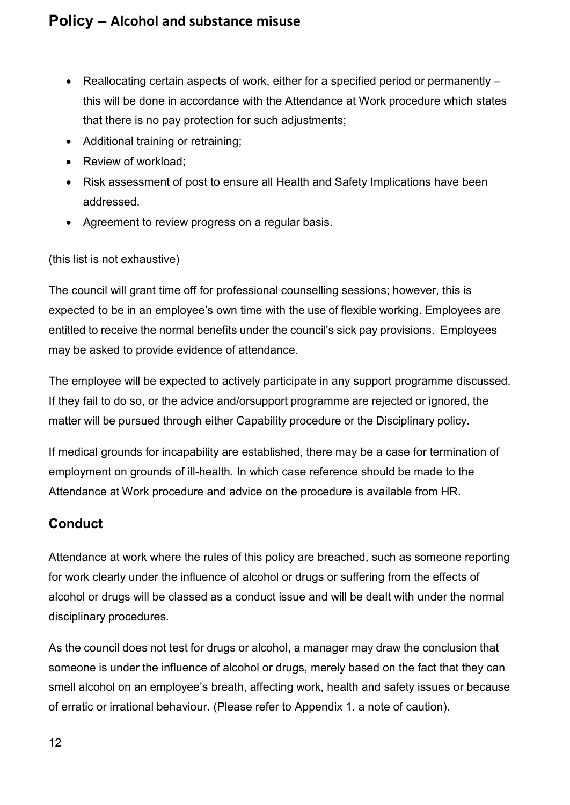- Reallocating certain aspects of work, either for a specified period or permanently this will be done in accordance with the Attendance at Work procedure which states that there is no pay protection for such adjustments;
- Additional training or retraining;
- Review of workload;
- Risk assessment of post to ensure all Health and Safety Implications have been addressed.
- Agreement to review progress on a regular basis.

#### (this list is not exhaustive)

The council will grant time off for professional counselling sessions; however, this is expected to be in an employee's own time with the use of flexible working. Employees are entitled to receive the normal benefits under the council's sick pay provisions. Employees may be asked to provide evidence of attendance.

The employee will be expected to actively participate in any support programme discussed. If they fail to do so, or the advice and/orsupport programme are rejected or ignored, the matter will be pursued through either Capability procedure or the Disciplinary policy.

If medical grounds for incapability are established, there may be a case for termination of employment on grounds of ill-health. In which case reference should be made to the Attendance at Work procedure and advice on the procedure is available from HR.

## <span id="page-11-0"></span>**Conduct**

Attendance at work where the rules of this policy are breached, such as someone reporting for work clearly under the influence of alcohol or drugs or suffering from the effects of alcohol or drugs will be classed as a conduct issue and will be dealt with under the normal disciplinary procedures.

As the council does not test for drugs or alcohol, a manager may draw the conclusion that someone is under the influence of alcohol or drugs, merely based on the fact that they can smell alcohol on an employee's breath, affecting work, health and safety issues or because of erratic or irrational behaviour. (Please refer to Appendix 1. a note of caution).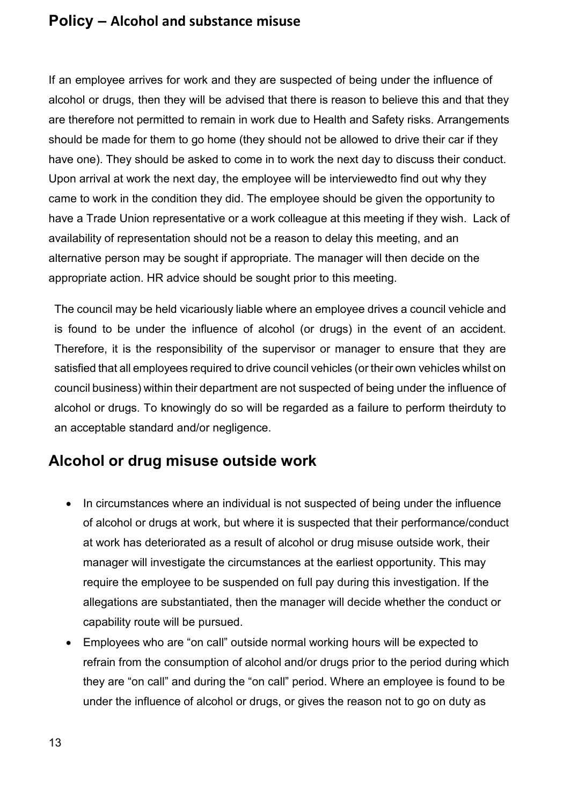If an employee arrives for work and they are suspected of being under the influence of alcohol or drugs, then they will be advised that there is reason to believe this and that they are therefore not permitted to remain in work due to Health and Safety risks. Arrangements should be made for them to go home (they should not be allowed to drive their car if they have one). They should be asked to come in to work the next day to discuss their conduct. Upon arrival at work the next day, the employee will be interviewedto find out why they came to work in the condition they did. The employee should be given the opportunity to have a Trade Union representative or a work colleague at this meeting if they wish. Lack of availability of representation should not be a reason to delay this meeting, and an alternative person may be sought if appropriate. The manager will then decide on the appropriate action. HR advice should be sought prior to this meeting.

The council may be held vicariously liable where an employee drives a council vehicle and is found to be under the influence of alcohol (or drugs) in the event of an accident. Therefore, it is the responsibility of the supervisor or manager to ensure that they are satisfied that all employees required to drive council vehicles (or their own vehicles whilst on council business) within their department are not suspected of being under the influence of alcohol or drugs. To knowingly do so will be regarded as a failure to perform theirduty to an acceptable standard and/or negligence.

# <span id="page-12-0"></span>**Alcohol or drug misuse outside work**

- In circumstances where an individual is not suspected of being under the influence of alcohol or drugs at work, but where it is suspected that their performance/conduct at work has deteriorated as a result of alcohol or drug misuse outside work, their manager will investigate the circumstances at the earliest opportunity. This may require the employee to be suspended on full pay during this investigation. If the allegations are substantiated, then the manager will decide whether the conduct or capability route will be pursued.
- Employees who are "on call" outside normal working hours will be expected to refrain from the consumption of alcohol and/or drugs prior to the period during which they are "on call" and during the "on call" period. Where an employee is found to be under the influence of alcohol or drugs, or gives the reason not to go on duty as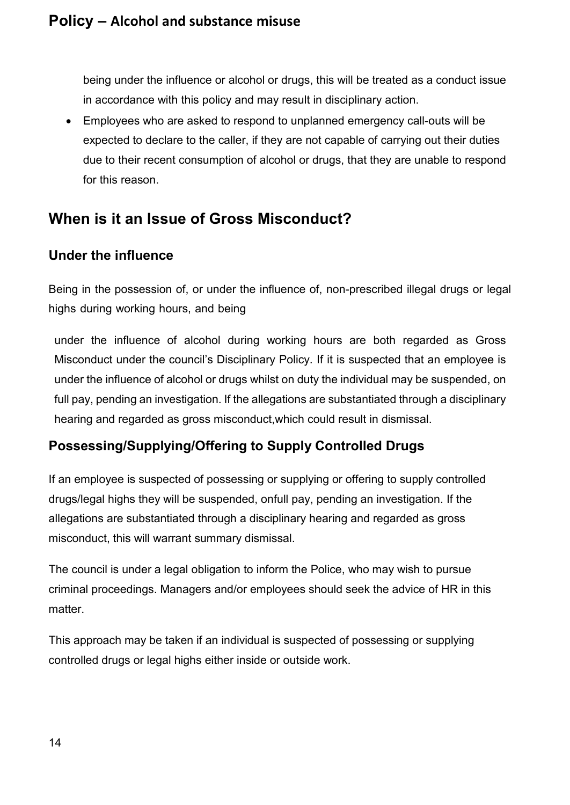being under the influence or alcohol or drugs, this will be treated as a conduct issue in accordance with this policy and may result in disciplinary action.

• Employees who are asked to respond to unplanned emergency call-outs will be expected to declare to the caller, if they are not capable of carrying out their duties due to their recent consumption of alcohol or drugs, that they are unable to respond for this reason.

# <span id="page-13-0"></span>**When is it an Issue of Gross Misconduct?**

## <span id="page-13-1"></span>**Under the influence**

Being in the possession of, or under the influence of, non-prescribed illegal drugs or legal highs during working hours, and being

under the influence of alcohol during working hours are both regarded as Gross Misconduct under the council's Disciplinary Policy. If it is suspected that an employee is under the influence of alcohol or drugs whilst on duty the individual may be suspended, on full pay, pending an investigation. If the allegations are substantiated through a disciplinary hearing and regarded as gross misconduct,which could result in dismissal.

## <span id="page-13-2"></span>**Possessing/Supplying/Offering to Supply Controlled Drugs**

If an employee is suspected of possessing or supplying or offering to supply controlled drugs/legal highs they will be suspended, onfull pay, pending an investigation. If the allegations are substantiated through a disciplinary hearing and regarded as gross misconduct, this will warrant summary dismissal.

The council is under a legal obligation to inform the Police, who may wish to pursue criminal proceedings. Managers and/or employees should seek the advice of HR in this matter.

This approach may be taken if an individual is suspected of possessing or supplying controlled drugs or legal highs either inside or outside work.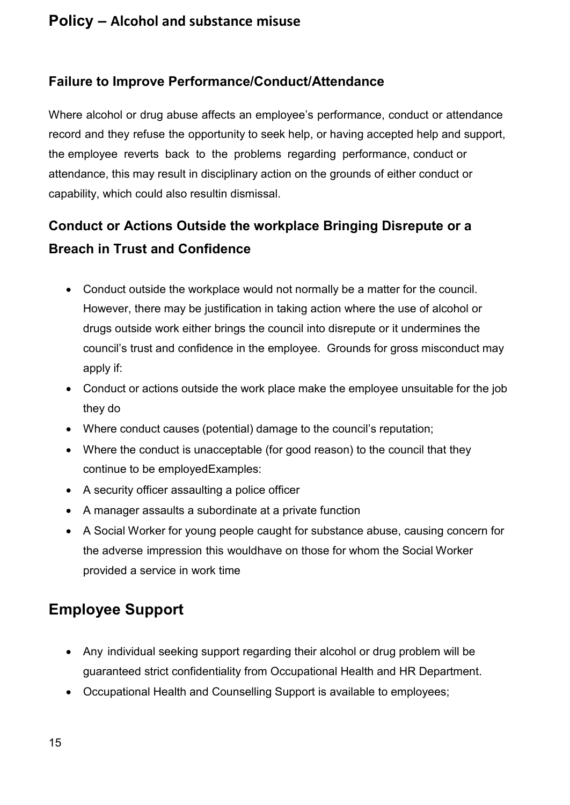#### <span id="page-14-0"></span>**Failure to Improve Performance/Conduct/Attendance**

Where alcohol or drug abuse affects an employee's performance, conduct or attendance record and they refuse the opportunity to seek help, or having accepted help and support, the employee reverts back to the problems regarding performance, conduct or attendance, this may result in disciplinary action on the grounds of either conduct or capability, which could also resultin dismissal.

# <span id="page-14-1"></span>**Conduct or Actions Outside the workplace Bringing Disrepute or a Breach in Trust and Confidence**

- Conduct outside the workplace would not normally be a matter for the council. However, there may be justification in taking action where the use of alcohol or drugs outside work either brings the council into disrepute or it undermines the council's trust and confidence in the employee. Grounds for gross misconduct may apply if:
- Conduct or actions outside the work place make the employee unsuitable for the job they do
- Where conduct causes (potential) damage to the council's reputation;
- Where the conduct is unacceptable (for good reason) to the council that they continue to be employedExamples:
- A security officer assaulting a police officer
- A manager assaults a subordinate at a private function
- A Social Worker for young people caught for substance abuse, causing concern for the adverse impression this wouldhave on those for whom the Social Worker provided a service in work time

# <span id="page-14-2"></span>**Employee Support**

- Any individual seeking support regarding their alcohol or drug problem will be guaranteed strict confidentiality from Occupational Health and HR Department.
- Occupational Health and Counselling Support is available to employees;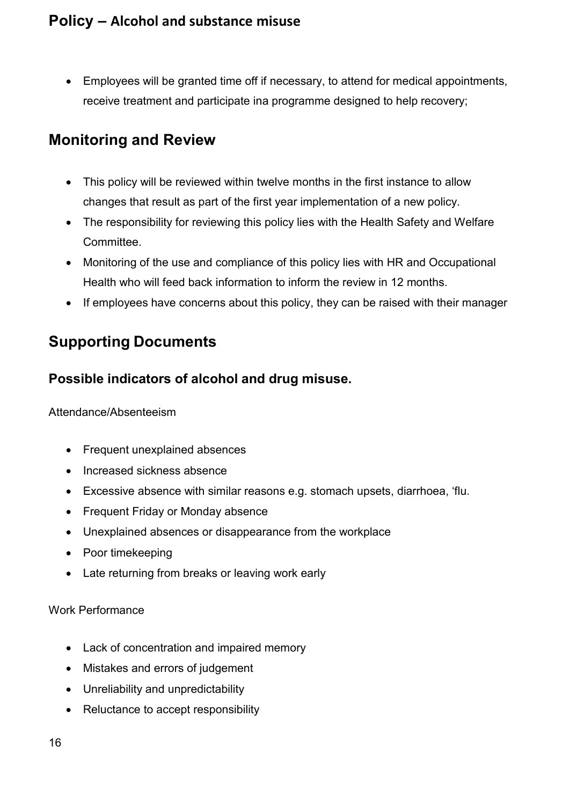• Employees will be granted time off if necessary, to attend for medical appointments, receive treatment and participate ina programme designed to help recovery;

# <span id="page-15-0"></span>**Monitoring and Review**

- This policy will be reviewed within twelve months in the first instance to allow changes that result as part of the first year implementation of a new policy.
- The responsibility for reviewing this policy lies with the Health Safety and Welfare Committee.
- Monitoring of the use and compliance of this policy lies with HR and Occupational Health who will feed back information to inform the review in 12 months.
- If employees have concerns about this policy, they can be raised with their manager

# <span id="page-15-1"></span>**Supporting Documents**

## <span id="page-15-2"></span>**Possible indicators of alcohol and drug misuse.**

#### Attendance/Absenteeism

- Frequent unexplained absences
- Increased sickness absence
- Excessive absence with similar reasons e.g. stomach upsets, diarrhoea, 'flu.
- Frequent Friday or Monday absence
- Unexplained absences or disappearance from the workplace
- Poor timekeeping
- Late returning from breaks or leaving work early

#### Work Performance

- Lack of concentration and impaired memory
- Mistakes and errors of judgement
- Unreliability and unpredictability
- Reluctance to accept responsibility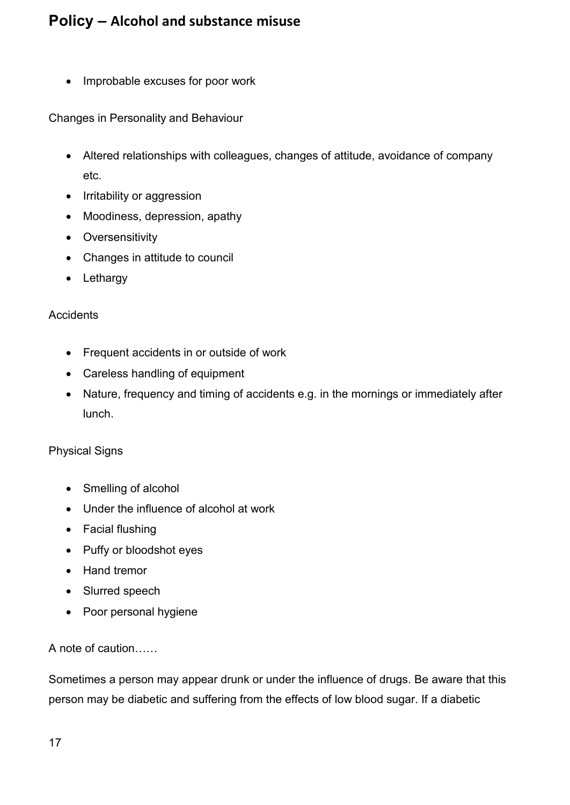• Improbable excuses for poor work

Changes in Personality and Behaviour

- Altered relationships with colleagues, changes of attitude, avoidance of company etc.
- Irritability or aggression
- Moodiness, depression, apathy
- Oversensitivity
- Changes in attitude to council
- Lethargy

#### **Accidents**

- Frequent accidents in or outside of work
- Careless handling of equipment
- Nature, frequency and timing of accidents e.g. in the mornings or immediately after lunch.

#### Physical Signs

- Smelling of alcohol
- Under the influence of alcohol at work
- Facial flushing
- Puffy or bloodshot eyes
- Hand tremor
- Slurred speech
- Poor personal hygiene

#### A note of caution……

Sometimes a person may appear drunk or under the influence of drugs. Be aware that this person may be diabetic and suffering from the effects of low blood sugar. If a diabetic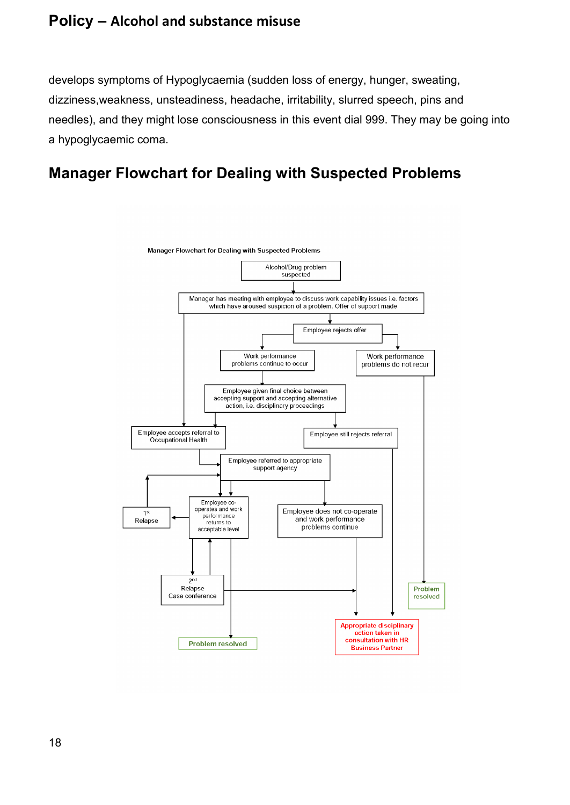develops symptoms of [Hypoglycaemia \(](http://www.drlockie.com/disease/hypogla.htm)sudden loss of energy, hunger, sweating, dizziness, weakness, unsteadiness, headache, irritability, slurred speech, pins and needles), and they might lose consciousness in this event dial 999. They may be going into a hypoglycaemic coma.

# <span id="page-17-0"></span>**Manager Flowchart for Dealing with Suspected Problems**

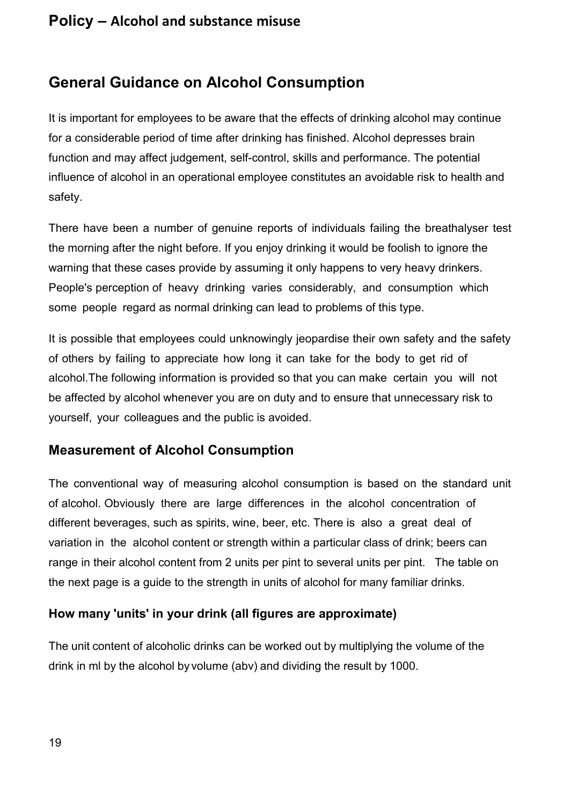# <span id="page-18-0"></span>**General Guidance on Alcohol Consumption**

It is important for employees to be aware that the effects of drinking alcohol may continue for a considerable period of time after drinking has finished. Alcohol depresses brain function and may affect judgement, self-control, skills and performance. The potential influence of alcohol in an operational employee constitutes an avoidable risk to health and safety.

There have been a number of genuine reports of individuals failing the breathalyser test the morning after the night before. If you enjoy drinking it would be foolish to ignore the warning that these cases provide by assuming it only happens to very heavy drinkers. People's perception of heavy drinking varies considerably, and consumption which some people regard as normal drinking can lead to problems of this type.

It is possible that employees could unknowingly jeopardise their own safety and the safety of others by failing to appreciate how long it can take for the body to get rid of alcohol.The following information is provided so that you can make certain you will not be affected by alcohol whenever you are on duty and to ensure that unnecessary risk to yourself, your colleagues and the public is avoided.

## <span id="page-18-1"></span>**Measurement of Alcohol Consumption**

The conventional way of measuring alcohol consumption is based on the standard unit of alcohol. Obviously there are large differences in the alcohol concentration of different beverages, such as spirits, wine, beer, etc. There is also a great deal of variation in the alcohol content or strength within a particular class of drink; beers can range in their alcohol content from 2 units per pint to several units per pint. The table on the next page is a guide to the strength in units of alcohol for many familiar drinks.

#### <span id="page-18-2"></span>**How many 'units' in your drink (all figures are approximate)**

The unit content of alcoholic drinks can be worked out by multiplying the volume of the drink in ml by the alcohol by volume (abv) and dividing the result by 1000.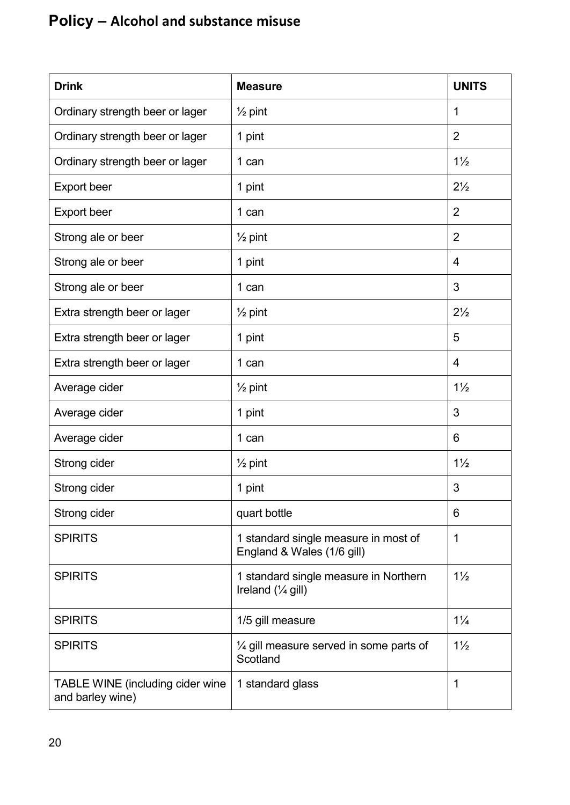| <b>Drink</b>                                         | <b>Measure</b>                                                        | <b>UNITS</b>   |
|------------------------------------------------------|-----------------------------------------------------------------------|----------------|
| Ordinary strength beer or lager                      | $\frac{1}{2}$ pint                                                    | 1              |
| Ordinary strength beer or lager                      | 1 pint                                                                | $\overline{2}$ |
| Ordinary strength beer or lager                      | 1 can                                                                 | $1\frac{1}{2}$ |
| <b>Export beer</b>                                   | 1 pint                                                                | $2\frac{1}{2}$ |
| <b>Export beer</b>                                   | 1 can                                                                 | $\overline{2}$ |
| Strong ale or beer                                   | $\frac{1}{2}$ pint                                                    | $\overline{2}$ |
| Strong ale or beer                                   | 1 pint                                                                | $\overline{4}$ |
| Strong ale or beer                                   | 1 can                                                                 | 3              |
| Extra strength beer or lager                         | $\frac{1}{2}$ pint                                                    | $2\frac{1}{2}$ |
| Extra strength beer or lager                         | 1 pint                                                                | 5              |
| Extra strength beer or lager                         | 1 can                                                                 | $\overline{4}$ |
| Average cider                                        | $\frac{1}{2}$ pint                                                    | $1\frac{1}{2}$ |
| Average cider                                        | 1 pint                                                                | 3              |
| Average cider                                        | 1 can                                                                 | 6              |
| Strong cider                                         | $\frac{1}{2}$ pint                                                    | $1\frac{1}{2}$ |
| Strong cider                                         | 1 pint                                                                | 3              |
| Strong cider                                         | quart bottle                                                          | 6              |
| <b>SPIRITS</b>                                       | 1 standard single measure in most of<br>England & Wales (1/6 gill)    | 1              |
| <b>SPIRITS</b>                                       | 1 standard single measure in Northern<br>Ireland $(\frac{1}{4}$ gill) | $1\frac{1}{2}$ |
| <b>SPIRITS</b>                                       | 1/5 gill measure                                                      | $1\frac{1}{4}$ |
| <b>SPIRITS</b>                                       | $\frac{1}{4}$ gill measure served in some parts of<br>Scotland        | $1\frac{1}{2}$ |
| TABLE WINE (including cider wine<br>and barley wine) | 1 standard glass                                                      | 1              |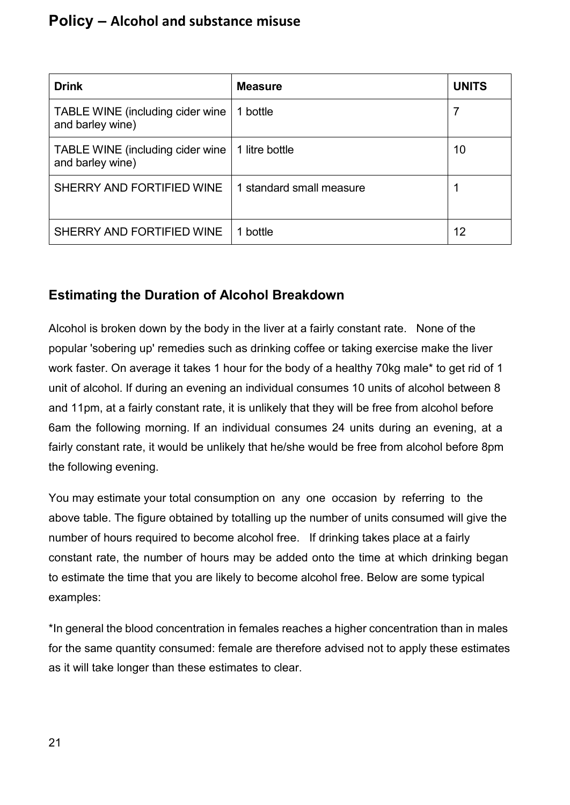| <b>Drink</b>                                          | <b>Measure</b>           | <b>UNITS</b> |
|-------------------------------------------------------|--------------------------|--------------|
| TABLE WINE (including cider wine<br>and barley wine)  | 1 bottle                 |              |
| TABLE WINE (including cider wine)<br>and barley wine) | 1 litre bottle           | 10           |
| SHERRY AND FORTIFIED WINE                             | 1 standard small measure |              |
| SHERRY AND FORTIFIED WINE                             | 1 bottle                 | 12           |

## <span id="page-20-0"></span>**Estimating the Duration of Alcohol Breakdown**

Alcohol is broken down by the body in the liver at a fairly constant rate. None of the popular 'sobering up' remedies such as drinking coffee or taking exercise make the liver work faster. On average it takes 1 hour for the body of a healthy 70kg male\* to get rid of 1 unit of alcohol. If during an evening an individual consumes 10 units of alcohol between 8 and 11pm, at a fairly constant rate, it is unlikely that they will be free from alcohol before 6am the following morning. If an individual consumes 24 units during an evening, at a fairly constant rate, it would be unlikely that he/she would be free from alcohol before 8pm the following evening.

You may estimate your total consumption on any one occasion by referring to the above table. The figure obtained by totalling up the number of units consumed will give the number of hours required to become alcohol free. If drinking takes place at a fairly constant rate, the number of hours may be added onto the time at which drinking began to estimate the time that you are likely to become alcohol free. Below are some typical examples:

\*In general the blood concentration in females reaches a higher concentration than in males for the same quantity consumed: female are therefore advised not to apply these estimates as it will take longer than these estimates to clear.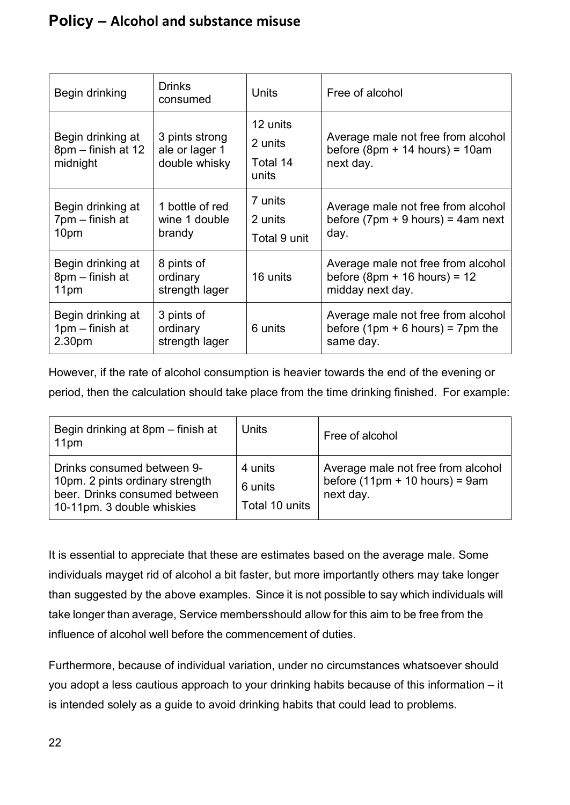| Begin drinking                                      | <b>Drinks</b><br>consumed                         | <b>Units</b>                             | Free of alcohol                                                                     |
|-----------------------------------------------------|---------------------------------------------------|------------------------------------------|-------------------------------------------------------------------------------------|
| Begin drinking at<br>8pm – finish at 12<br>midnight | 3 pints strong<br>ale or lager 1<br>double whisky | 12 units<br>2 units<br>Total 14<br>units | Average male not free from alcohol<br>before $(8pm + 14$ hours) = 10am<br>next day. |
| Begin drinking at                                   | 1 bottle of red                                   | 7 units                                  | Average male not free from alcohol                                                  |
| 7pm – finish at                                     | wine 1 double                                     | 2 units                                  | before $(7 \text{pm} + 9 \text{ hours}) = 4 \text{am next}$                         |
| 10pm                                                | brandy                                            | Total 9 unit                             | day.                                                                                |
| Begin drinking at                                   | 8 pints of                                        | 16 units                                 | Average male not free from alcohol                                                  |
| 8pm – finish at                                     | ordinary                                          |                                          | before $(8pm + 16$ hours) = 12                                                      |
| 11pm                                                | strength lager                                    |                                          | midday next day.                                                                    |
| Begin drinking at                                   | 3 pints of                                        | 6 units                                  | Average male not free from alcohol                                                  |
| 1pm – finish at                                     | ordinary                                          |                                          | before $(1pm + 6$ hours) = 7pm the                                                  |
| 2.30pm                                              | strength lager                                    |                                          | same day.                                                                           |

However, if the rate of alcohol consumption is heavier towards the end of the evening or period, then the calculation should take place from the time drinking finished. For example:

| Begin drinking at 8pm – finish at<br>11pm                                                                                    | <b>Units</b>                         | Free of alcohol                                                                     |
|------------------------------------------------------------------------------------------------------------------------------|--------------------------------------|-------------------------------------------------------------------------------------|
| Drinks consumed between 9-<br>10pm. 2 pints ordinary strength<br>beer. Drinks consumed between<br>10-11pm. 3 double whiskies | 4 units<br>6 units<br>Total 10 units | Average male not free from alcohol<br>before $(11pm + 10$ hours) = 9am<br>next day. |

It is essential to appreciate that these are estimates based on the average male. Some individuals mayget rid of alcohol a bit faster, but more importantly others may take longer than suggested by the above examples. Since it is not possible to say which individuals will take longer than average, Service membersshould allow for this aim to be free from the influence of alcohol well before the commencement of duties.

Furthermore, because of individual variation, under no circumstances whatsoever should you adopt a less cautious approach to your drinking habits because of this information – it is intended solely as a guide to avoid drinking habits that could lead to problems.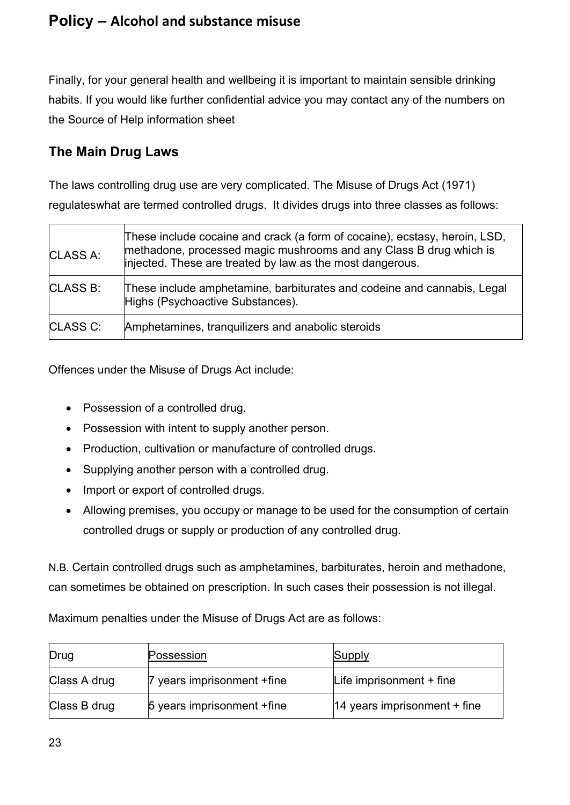Finally, for your general health and wellbeing it is important to maintain sensible drinking habits. If you would like further confidential advice you may contact any of the numbers on the Source of Help information sheet

## <span id="page-22-0"></span>**The Main Drug Laws**

The laws controlling drug use are very complicated. The Misuse of Drugs Act (1971) regulateswhat are termed controlled drugs. It divides drugs into three classes as follows:

| <b>CLASS A:</b> | These include cocaine and crack (a form of cocaine), ecstasy, heroin, LSD,<br>methadone, processed magic mushrooms and any Class B drug which is<br>injected. These are treated by law as the most dangerous. |
|-----------------|---------------------------------------------------------------------------------------------------------------------------------------------------------------------------------------------------------------|
| <b>CLASS B:</b> | These include amphetamine, barbiturates and codeine and cannabis, Legal<br>Highs (Psychoactive Substances).                                                                                                   |
| <b>CLASS C:</b> | Amphetamines, tranquilizers and anabolic steroids                                                                                                                                                             |

Offences under the Misuse of Drugs Act include:

- Possession of a controlled drug.
- Possession with intent to supply another person.
- Production, cultivation or manufacture of controlled drugs.
- Supplying another person with a controlled drug.
- Import or export of controlled drugs.
- Allowing premises, you occupy or manage to be used for the consumption of certain controlled drugs or supply or production of any controlled drug.

N.B. Certain controlled drugs such as amphetamines, barbiturates, heroin and methadone, can sometimes be obtained on prescription. In such cases their possession is not illegal.

Maximum penalties under the Misuse of Drugs Act are as follows:

| Drug         | Possession                  | Supply                                  |
|--------------|-----------------------------|-----------------------------------------|
| Class A drug | 7 years imprisonment + fine | Life imprisonment $+$ fine              |
| Class B drug | 5 years imprisonment + fine | $ 14 \rangle$ years imprisonment + fine |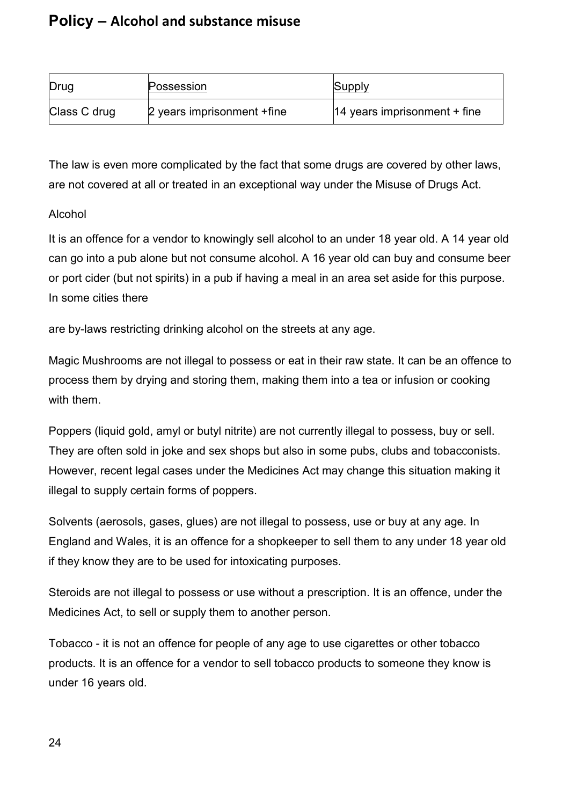| Drug         | Possession                  | Supply                                  |
|--------------|-----------------------------|-----------------------------------------|
| Class C drug | 2 years imprisonment + fine | $ 14 \rangle$ years imprisonment + fine |

The law is even more complicated by the fact that some drugs are covered by other laws, are not covered at all or treated in an exceptional way under the Misuse of Drugs Act.

#### Alcohol

It is an offence for a vendor to knowingly sell alcohol to an under 18 year old. A 14 year old can go into a pub alone but not consume alcohol. A 16 year old can buy and consume beer or port cider (but not spirits) in a pub if having a meal in an area set aside for this purpose. In some cities there

are by-laws restricting drinking alcohol on the streets at any age.

Magic Mushrooms are not illegal to possess or eat in their raw state. It can be an offence to process them by drying and storing them, making them into a tea or infusion or cooking with them.

Poppers (liquid gold, amyl or butyl nitrite) are not currently illegal to possess, buy or sell. They are often sold in joke and sex shops but also in some pubs, clubs and tobacconists. However, recent legal cases under the Medicines Act may change this situation making it illegal to supply certain forms of poppers.

Solvents (aerosols, gases, glues) are not illegal to possess, use or buy at any age. In England and Wales, it is an offence for a shopkeeper to sell them to any under 18 year old if they know they are to be used for intoxicating purposes.

Steroids are not illegal to possess or use without a prescription. It is an offence, under the Medicines Act, to sell or supply them to another person.

Tobacco - it is not an offence for people of any age to use cigarettes or other tobacco products. It is an offence for a vendor to sell tobacco products to someone they know is under 16 years old.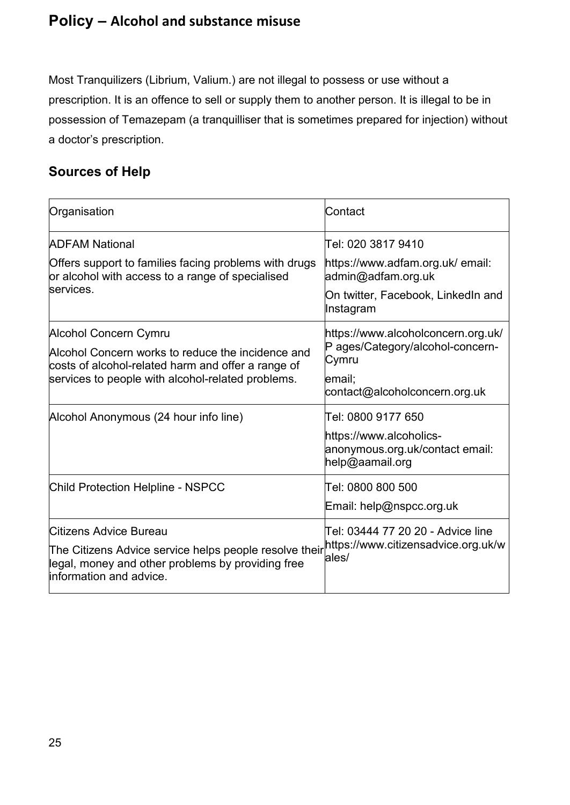Most Tranquilizers (Librium, Valium.) are not illegal to possess or use without a prescription. It is an offence to sell or supply them to another person. It is illegal to be in possession of Temazepam (a tranquilliser that is sometimes prepared for injection) without a doctor's prescription.

# <span id="page-24-0"></span>**Sources of Help**

| Contact                                                                                                                                             |
|-----------------------------------------------------------------------------------------------------------------------------------------------------|
| Tel: 020 3817 9410                                                                                                                                  |
| https://www.adfam.org.uk/ email:<br>admin@adfam.org.uk                                                                                              |
| On twitter, Facebook, LinkedIn and<br>Instagram                                                                                                     |
| https://www.alcoholconcern.org.uk/                                                                                                                  |
| P ages/Category/alcohol-concern-<br>Cymru                                                                                                           |
| email:<br>contact@alcoholconcern.org.uk                                                                                                             |
| Tel: 0800 9177 650                                                                                                                                  |
| https://www.alcoholics-<br>anonymous.org.uk/contact email:<br>help@aamail.org                                                                       |
| Tel: 0800 800 500                                                                                                                                   |
| Email: help@nspcc.org.uk                                                                                                                            |
| Tel: 03444 77 20 20 - Advice line<br>The Citizens Advice service helps people resolve their <sup>https://www.citizensadvice.org.uk/w</sup><br>ales/ |
|                                                                                                                                                     |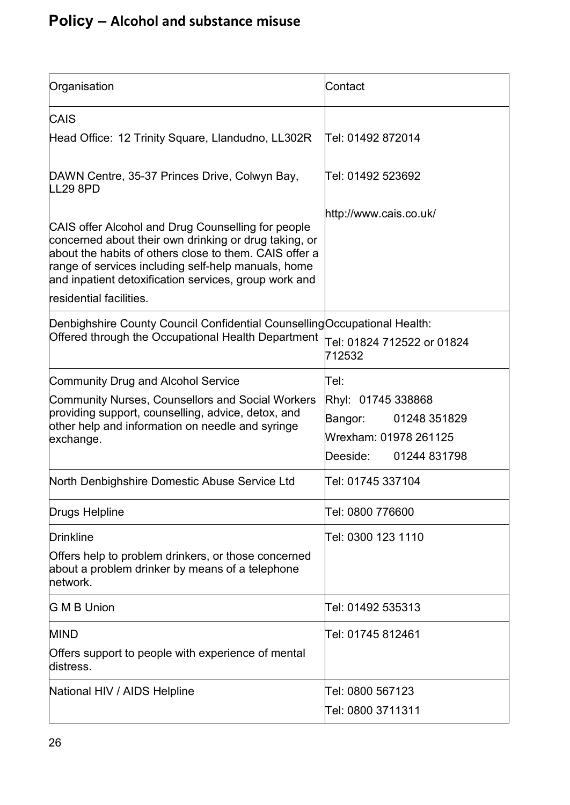| Organisation                                                                                                                                                                                                                                                                                                     | Contact                                                                                            |
|------------------------------------------------------------------------------------------------------------------------------------------------------------------------------------------------------------------------------------------------------------------------------------------------------------------|----------------------------------------------------------------------------------------------------|
| <b>CAIS</b>                                                                                                                                                                                                                                                                                                      |                                                                                                    |
| Head Office: 12 Trinity Square, Llandudno, LL302R                                                                                                                                                                                                                                                                | Tel: 01492 872014                                                                                  |
| DAWN Centre, 35-37 Princes Drive, Colwyn Bay,<br>LL29 8PD                                                                                                                                                                                                                                                        | Tel: 01492 523692                                                                                  |
| CAIS offer Alcohol and Drug Counselling for people<br>concerned about their own drinking or drug taking, or<br>about the habits of others close to them. CAIS offer a<br>range of services including self-help manuals, home<br>and inpatient detoxification services, group work and<br>residential facilities. | http://www.cais.co.uk/                                                                             |
| Denbighshire County Council Confidential Counselling Occupational Health:<br>Offered through the Occupational Health Department                                                                                                                                                                                  | Tel: 01824 712522 or 01824<br>712532                                                               |
| <b>Community Drug and Alcohol Service</b>                                                                                                                                                                                                                                                                        | lTel:                                                                                              |
| Community Nurses, Counsellors and Social Workers<br>providing support, counselling, advice, detox, and<br>other help and information on needle and syringe<br>exchange.                                                                                                                                          | Rhyl: 01745 338868<br>01248 351829<br>Bangor:<br>Wrexham: 01978 261125<br>Deeside:<br>01244 831798 |
| North Denbighshire Domestic Abuse Service Ltd                                                                                                                                                                                                                                                                    | Tel: 01745 337104                                                                                  |
| Drugs Helpline                                                                                                                                                                                                                                                                                                   | Tel: 0800 776600                                                                                   |
| <b>Drinkline</b><br>Offers help to problem drinkers, or those concerned<br>about a problem drinker by means of a telephone<br>network.                                                                                                                                                                           | Tel: 0300 123 1110                                                                                 |
| <b>G M B Union</b>                                                                                                                                                                                                                                                                                               | Tel: 01492 535313                                                                                  |
| <b>MIND</b>                                                                                                                                                                                                                                                                                                      | Tel: 01745 812461                                                                                  |
| Offers support to people with experience of mental<br>distress.                                                                                                                                                                                                                                                  |                                                                                                    |
| National HIV / AIDS Helpline                                                                                                                                                                                                                                                                                     | Tel: 0800 567123                                                                                   |
|                                                                                                                                                                                                                                                                                                                  | Tel: 0800 3711311                                                                                  |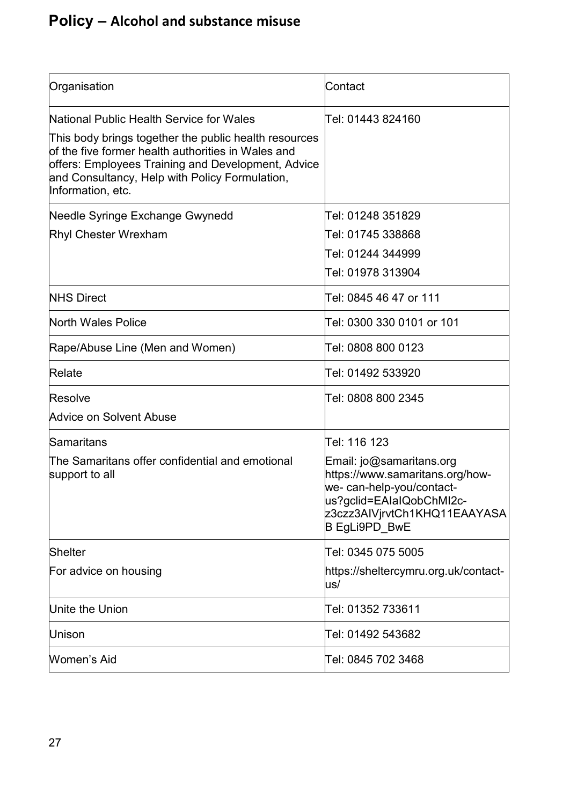| Organisation                                                                                                                                                                                                                                                                         | Contact                                                                                                                                                               |
|--------------------------------------------------------------------------------------------------------------------------------------------------------------------------------------------------------------------------------------------------------------------------------------|-----------------------------------------------------------------------------------------------------------------------------------------------------------------------|
| National Public Health Service for Wales<br>This body brings together the public health resources<br>of the five former health authorities in Wales and<br>offers: Employees Training and Development, Advice<br>and Consultancy, Help with Policy Formulation,<br>Information, etc. | lTel: 01443 824160                                                                                                                                                    |
| Needle Syringe Exchange Gwynedd<br><b>Rhyl Chester Wrexham</b>                                                                                                                                                                                                                       | Tel: 01248 351829<br>Tel: 01745 338868<br>Tel: 01244 344999<br>Tel: 01978 313904                                                                                      |
| <b>NHS Direct</b>                                                                                                                                                                                                                                                                    | Tel: 0845 46 47 or 111                                                                                                                                                |
| <b>North Wales Police</b>                                                                                                                                                                                                                                                            | Tel: 0300 330 0101 or 101                                                                                                                                             |
| Rape/Abuse Line (Men and Women)                                                                                                                                                                                                                                                      | Tel: 0808 800 0123                                                                                                                                                    |
| Relate                                                                                                                                                                                                                                                                               | Tel: 01492 533920                                                                                                                                                     |
| Resolve<br><b>Advice on Solvent Abuse</b>                                                                                                                                                                                                                                            | Tel: 0808 800 2345                                                                                                                                                    |
| Samaritans                                                                                                                                                                                                                                                                           | Tel: 116 123                                                                                                                                                          |
| The Samaritans offer confidential and emotional<br>support to all                                                                                                                                                                                                                    | Email: jo@samaritans.org<br>https://www.samaritans.org/how-<br>we- can-help-you/contact-<br>us?gclid=EAIaIQobChMI2c-<br>z3czz3AIVjrvtCh1KHQ11EAAYASA<br>B EgLi9PD_BwE |
| <b>Shelter</b>                                                                                                                                                                                                                                                                       | Tel: 0345 075 5005                                                                                                                                                    |
| For advice on housing                                                                                                                                                                                                                                                                | https://sheltercymru.org.uk/contact-<br>us/                                                                                                                           |
| Unite the Union                                                                                                                                                                                                                                                                      | Tel: 01352 733611                                                                                                                                                     |
| Unison                                                                                                                                                                                                                                                                               | Tel: 01492 543682                                                                                                                                                     |
| Women's Aid                                                                                                                                                                                                                                                                          | Tel: 0845 702 3468                                                                                                                                                    |
|                                                                                                                                                                                                                                                                                      |                                                                                                                                                                       |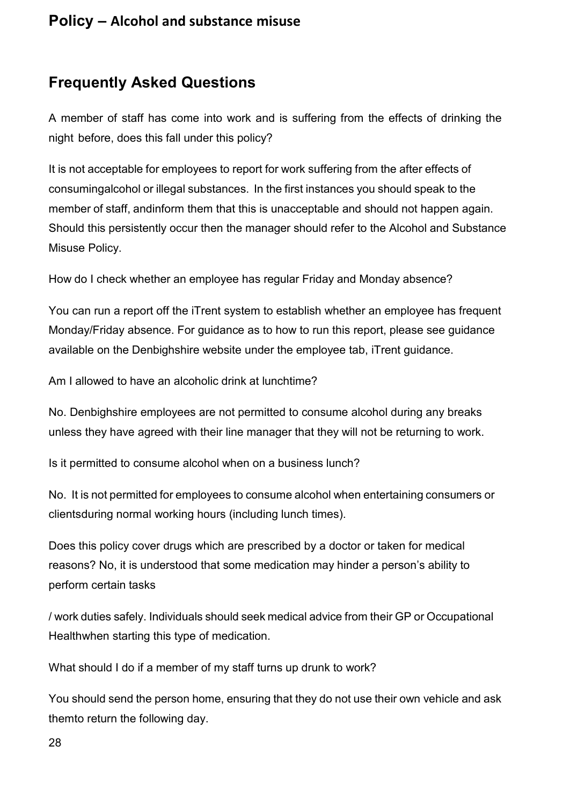# <span id="page-27-0"></span>**Frequently Asked Questions**

A member of staff has come into work and is suffering from the effects of drinking the night before, does this fall under this policy?

It is not acceptable for employees to report for work suffering from the after effects of consumingalcohol or illegal substances. In the first instances you should speak to the member of staff, andinform them that this is unacceptable and should not happen again. Should this persistently occur then the manager should refer to the Alcohol and Substance Misuse Policy.

How do I check whether an employee has regular Friday and Monday absence?

You can run a report off the iTrent system to establish whether an employee has frequent Monday/Friday absence. For guidance as to how to run this report, please see guidance available on the Denbighshire website under the employee tab, iTrent guidance.

Am I allowed to have an alcoholic drink at lunchtime?

No. Denbighshire employees are not permitted to consume alcohol during any breaks unless they have agreed with their line manager that they will not be returning to work.

Is it permitted to consume alcohol when on a business lunch?

No. It is not permitted for employees to consume alcohol when entertaining consumers or clientsduring normal working hours (including lunch times).

Does this policy cover drugs which are prescribed by a doctor or taken for medical reasons? No, it is understood that some medication may hinder a person's ability to perform certain tasks

/ work duties safely. Individuals should seek medical advice from their GP or Occupational Healthwhen starting this type of medication.

What should I do if a member of my staff turns up drunk to work?

You should send the person home, ensuring that they do not use their own vehicle and ask themto return the following day.

28